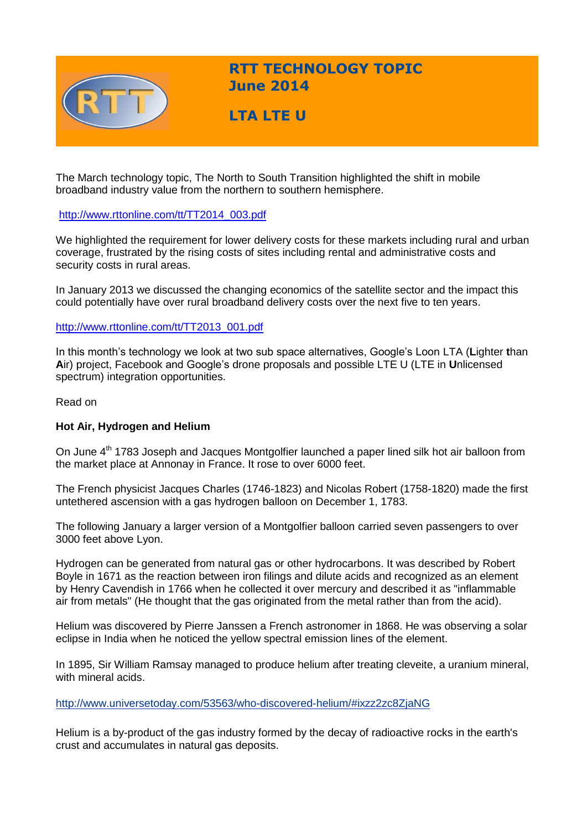

**RTT TECHNOLOGY TOPIC June 2014**

**LTA LTE U** 

The March technology topic, The North to South Transition highlighted the shift in mobile broadband industry value from the northern to southern hemisphere.

# [http://www.rttonline.com/tt/TT2014\\_003.pdf](http://www.rttonline.com/tt/TT2014_003.pdf)

We highlighted the requirement for lower delivery costs for these markets including rural and urban coverage, frustrated by the rising costs of sites including rental and administrative costs and security costs in rural areas.

In January 2013 we discussed the changing economics of the satellite sector and the impact this could potentially have over rural broadband delivery costs over the next five to ten years.

## [http://www.rttonline.com/tt/TT2013\\_001.pdf](http://www.rttonline.com/tt/TT2013_001.pdf)

In this month's technology we look at two sub space alternatives, Google's Loon LTA (**L**ighter **t**han **A**ir) project, Facebook and Google's drone proposals and possible LTE U (LTE in **U**nlicensed spectrum) integration opportunities.

Read on

## **Hot Air, Hydrogen and Helium**

On June 4<sup>th</sup> 1783 Joseph and Jacques Montgolfier launched a paper lined silk hot air balloon from the market place at Annonay in France. It rose to over 6000 feet.

The French physicist Jacques Charles (1746-1823) and Nicolas Robert (1758-1820) made the first untethered ascension with a gas hydrogen balloon on December 1, 1783.

The following January a larger version of a Montgolfier balloon carried seven passengers to over 3000 feet above Lyon.

Hydrogen can be generated from natural gas or other hydrocarbons. It was described by Robert Boyle in 1671 as the reaction between iron filings and dilute acids and recognized as an element by Henry Cavendish in 1766 when he collected it over mercury and described it as "inflammable air from metals" (He thought that the gas originated from the metal rather than from the acid).

Helium was discovered by Pierre Janssen a French astronomer in 1868. He was observing a solar eclipse in India when he noticed the yellow spectral emission lines of the element.

In 1895, Sir William Ramsay managed to produce helium after treating cleveite, a uranium mineral, with mineral acids.

<http://www.universetoday.com/53563/who-discovered-helium/#ixzz2zc8ZjaNG>

Helium is a by-product of the gas industry formed by the decay of radioactive rocks in the earth's crust and accumulates in natural gas deposits.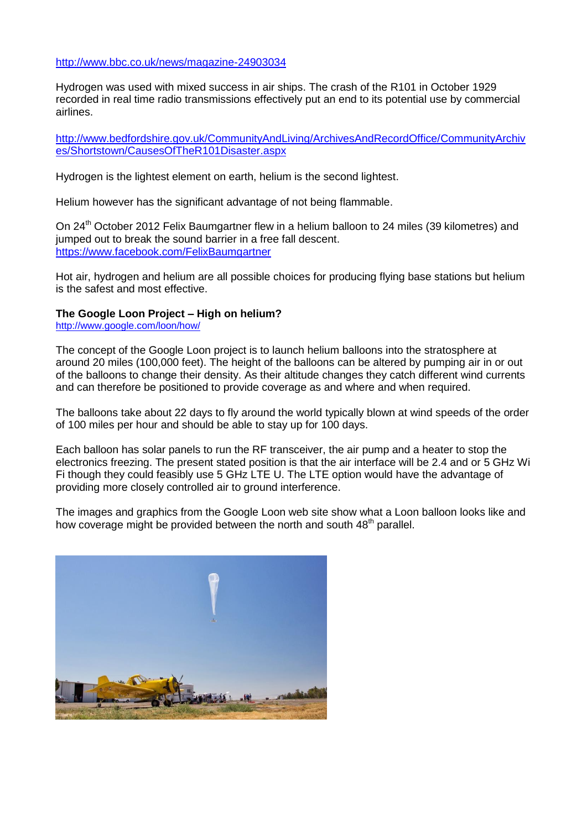<http://www.bbc.co.uk/news/magazine-24903034>

Hydrogen was used with mixed success in air ships. The crash of the R101 in October 1929 recorded in real time radio transmissions effectively put an end to its potential use by commercial airlines.

[http://www.bedfordshire.gov.uk/CommunityAndLiving/ArchivesAndRecordOffice/CommunityArchiv](http://www.bedfordshire.gov.uk/CommunityAndLiving/ArchivesAndRecordOffice/CommunityArchives/Shortstown/CausesOfTheR101Disaster.aspx) [es/Shortstown/CausesOfTheR101Disaster.aspx](http://www.bedfordshire.gov.uk/CommunityAndLiving/ArchivesAndRecordOffice/CommunityArchives/Shortstown/CausesOfTheR101Disaster.aspx)

Hydrogen is the lightest element on earth, helium is the second lightest.

Helium however has the significant advantage of not being flammable.

On 24<sup>th</sup> October 2012 Felix Baumgartner flew in a helium balloon to 24 miles (39 kilometres) and jumped out to break the sound barrier in a free fall descent. <https://www.facebook.com/FelixBaumgartner>

Hot air, hydrogen and helium are all possible choices for producing flying base stations but helium is the safest and most effective.

### **The Google Loon Project – High on helium?**

<http://www.google.com/loon/how/>

The concept of the Google Loon project is to launch helium balloons into the stratosphere at around 20 miles (100,000 feet). The height of the balloons can be altered by pumping air in or out of the balloons to change their density. As their altitude changes they catch different wind currents and can therefore be positioned to provide coverage as and where and when required.

The balloons take about 22 days to fly around the world typically blown at wind speeds of the order of 100 miles per hour and should be able to stay up for 100 days.

Each balloon has solar panels to run the RF transceiver, the air pump and a heater to stop the electronics freezing. The present stated position is that the air interface will be 2.4 and or 5 GHz Wi Fi though they could feasibly use 5 GHz LTE U. The LTE option would have the advantage of providing more closely controlled air to ground interference.

The images and graphics from the Google Loon web site show what a Loon balloon looks like and how coverage might be provided between the north and south 48<sup>th</sup> parallel.

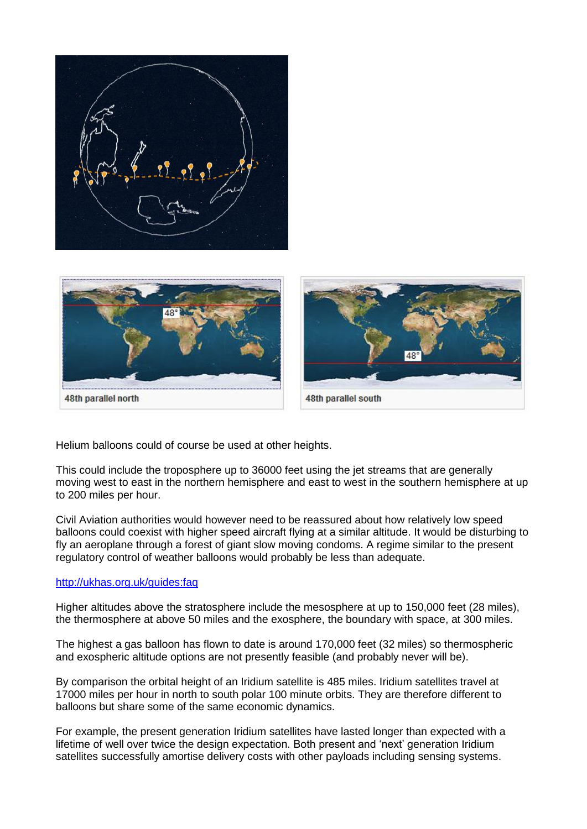48th parallel north 48th parallel south

Helium balloons could of course be used at other heights.

This could include the troposphere up to 36000 feet using the jet streams that are generally moving west to east in the northern hemisphere and east to west in the southern hemisphere at up to 200 miles per hour.

Civil Aviation authorities would however need to be reassured about how relatively low speed balloons could coexist with higher speed aircraft flying at a similar altitude. It would be disturbing to fly an aeroplane through a forest of giant slow moving condoms. A regime similar to the present regulatory control of weather balloons would probably be less than adequate.

#### <http://ukhas.org.uk/guides:faq>

Higher altitudes above the stratosphere include the mesosphere at up to 150,000 feet (28 miles), the thermosphere at above 50 miles and the exosphere, the boundary with space, at 300 miles.

The highest a gas balloon has flown to date is around 170,000 feet (32 miles) so thermospheric and exospheric altitude options are not presently feasible (and probably never will be).

By comparison the orbital height of an Iridium satellite is 485 miles. Iridium satellites travel at 17000 miles per hour in north to south polar 100 minute orbits. They are therefore different to balloons but share some of the same economic dynamics.

For example, the present generation Iridium satellites have lasted longer than expected with a lifetime of well over twice the design expectation. Both present and 'next' generation Iridium satellites successfully amortise delivery costs with other payloads including sensing systems.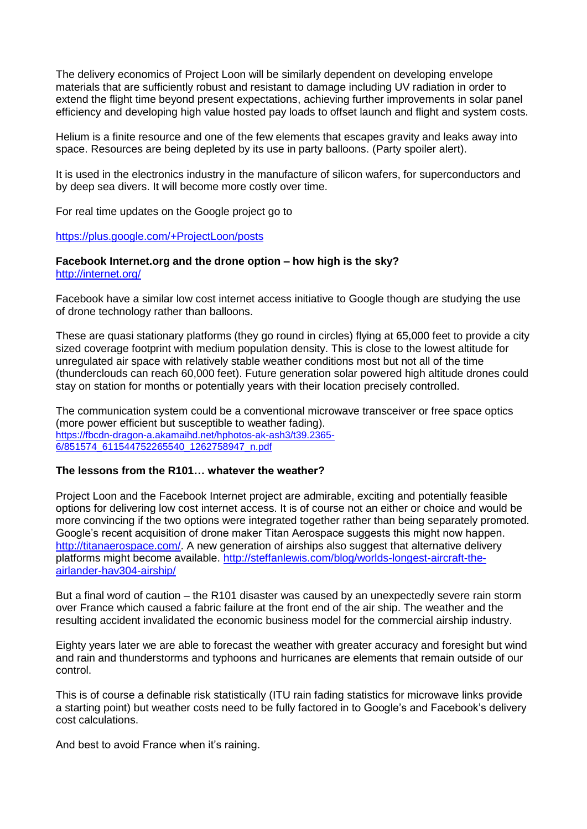The delivery economics of Project Loon will be similarly dependent on developing envelope materials that are sufficiently robust and resistant to damage including UV radiation in order to extend the flight time beyond present expectations, achieving further improvements in solar panel efficiency and developing high value hosted pay loads to offset launch and flight and system costs.

Helium is a finite resource and one of the few elements that escapes gravity and leaks away into space. Resources are being depleted by its use in party balloons. (Party spoiler alert).

It is used in the electronics industry in the manufacture of silicon wafers, for superconductors and by deep sea divers. It will become more costly over time.

For real time updates on the Google project go to

#### <https://plus.google.com/+ProjectLoon/posts>

#### **Facebook Internet.org and the drone option – how high is the sky?** <http://internet.org/>

Facebook have a similar low cost internet access initiative to Google though are studying the use of drone technology rather than balloons.

These are quasi stationary platforms (they go round in circles) flying at 65,000 feet to provide a city sized coverage footprint with medium population density. This is close to the lowest altitude for unregulated air space with relatively stable weather conditions most but not all of the time (thunderclouds can reach 60,000 feet). Future generation solar powered high altitude drones could stay on station for months or potentially years with their location precisely controlled.

The communication system could be a conventional microwave transceiver or free space optics (more power efficient but susceptible to weather fading). [https://fbcdn-dragon-a.akamaihd.net/hphotos-ak-ash3/t39.2365-](https://fbcdn-dragon-a.akamaihd.net/hphotos-ak-ash3/t39.2365-6/851574_611544752265540_1262758947_n.pdf) [6/851574\\_611544752265540\\_1262758947\\_n.pdf](https://fbcdn-dragon-a.akamaihd.net/hphotos-ak-ash3/t39.2365-6/851574_611544752265540_1262758947_n.pdf)

## **The lessons from the R101… whatever the weather?**

Project Loon and the Facebook Internet project are admirable, exciting and potentially feasible options for delivering low cost internet access. It is of course not an either or choice and would be more convincing if the two options were integrated together rather than being separately promoted. Google's recent acquisition of drone maker Titan Aerospace suggests this might now happen. [http://titanaerospace.com/.](http://titanaerospace.com/) A new generation of airships also suggest that alternative delivery platforms might become available. [http://steffanlewis.com/blog/worlds-longest-aircraft-the](http://steffanlewis.com/blog/worlds-longest-aircraft-the-airlander-hav304-airship/)[airlander-hav304-airship/](http://steffanlewis.com/blog/worlds-longest-aircraft-the-airlander-hav304-airship/)

But a final word of caution – the R101 disaster was caused by an unexpectedly severe rain storm over France which caused a fabric failure at the front end of the air ship. The weather and the resulting accident invalidated the economic business model for the commercial airship industry.

Eighty years later we are able to forecast the weather with greater accuracy and foresight but wind and rain and thunderstorms and typhoons and hurricanes are elements that remain outside of our control.

This is of course a definable risk statistically (ITU rain fading statistics for microwave links provide a starting point) but weather costs need to be fully factored in to Google's and Facebook's delivery cost calculations.

And best to avoid France when it's raining.